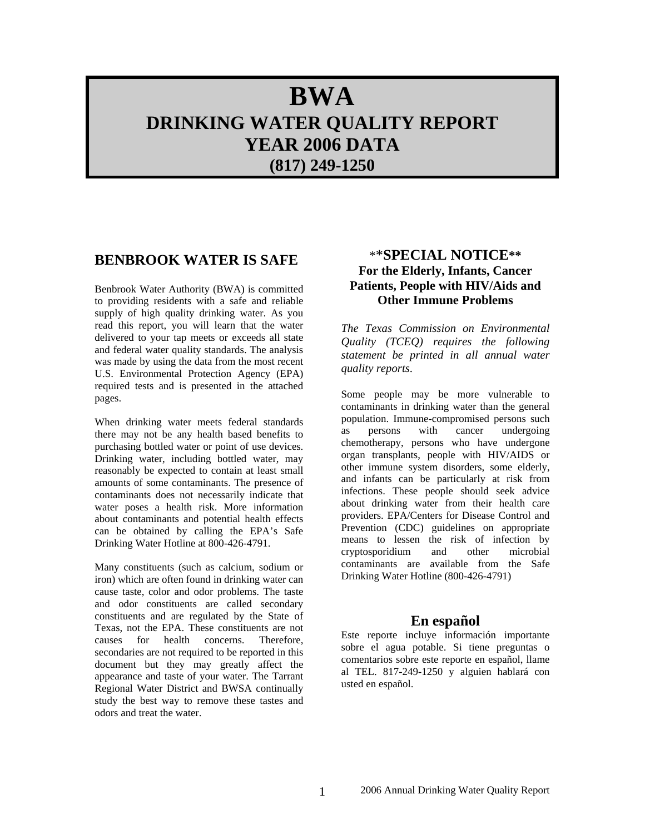# **BWA DRINKING WATER QUALITY REPORT YEAR 2006 DATA (817) 249-1250**

### **BENBROOK WATER IS SAFE**

Benbrook Water Authority (BWA) is committed to providing residents with a safe and reliable supply of high quality drinking water. As you read this report, you will learn that the water delivered to your tap meets or exceeds all state and federal water quality standards. The analysis was made by using the data from the most recent U.S. Environmental Protection Agency (EPA) required tests and is presented in the attached pages.

When drinking water meets federal standards there may not be any health based benefits to purchasing bottled water or point of use devices. Drinking water, including bottled water, may reasonably be expected to contain at least small amounts of some contaminants. The presence of contaminants does not necessarily indicate that water poses a health risk. More information about contaminants and potential health effects can be obtained by calling the EPA's Safe Drinking Water Hotline at 800-426-4791.

Many constituents (such as calcium, sodium or iron) which are often found in drinking water can cause taste, color and odor problems. The taste and odor constituents are called secondary constituents and are regulated by the State of Texas, not the EPA. These constituents are not causes for health concerns. Therefore, secondaries are not required to be reported in this document but they may greatly affect the appearance and taste of your water. The Tarrant Regional Water District and BWSA continually study the best way to remove these tastes and odors and treat the water.

### \*\***SPECIAL NOTICE\*\* For the Elderly, Infants, Cancer Patients, People with HIV/Aids and Other Immune Problems**

*The Texas Commission on Environmental Quality (TCEQ) requires the following statement be printed in all annual water quality reports*.

Some people may be more vulnerable to contaminants in drinking water than the general population. Immune-compromised persons such as persons with cancer undergoing chemotherapy, persons who have undergone organ transplants, people with HIV/AIDS or other immune system disorders, some elderly, and infants can be particularly at risk from infections. These people should seek advice about drinking water from their health care providers. EPA/Centers for Disease Control and Prevention (CDC) guidelines on appropriate means to lessen the risk of infection by cryptosporidium and other microbial contaminants are available from the Safe Drinking Water Hotline (800-426-4791)

### **En español**

Este reporte incluye información importante sobre el agua potable. Si tiene preguntas o comentarios sobre este reporte en español, llame al TEL. 817-249-1250 y alguien hablará con usted en español.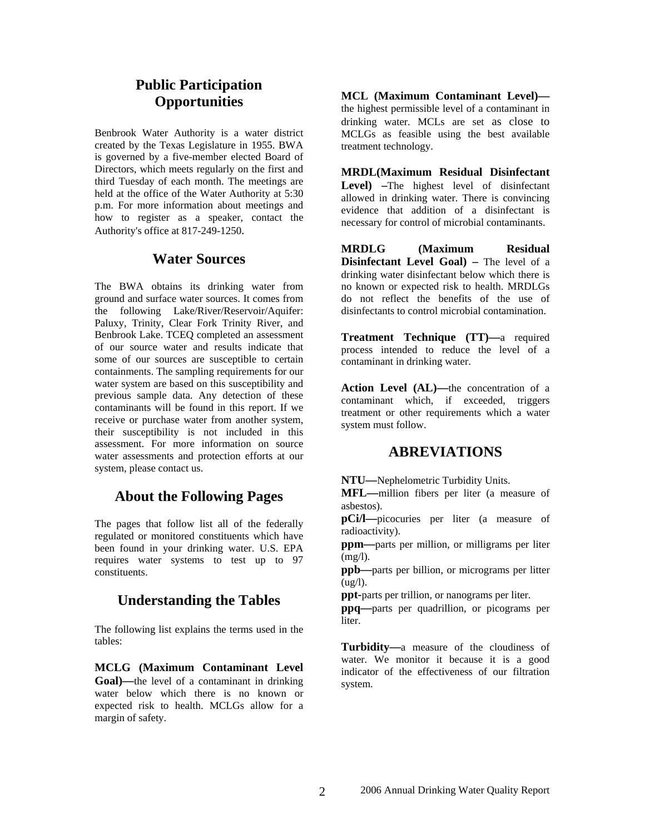# **Public Participation Opportunities**

Benbrook Water Authority is a water district created by the Texas Legislature in 1955. BWA is governed by a five-member elected Board of Directors, which meets regularly on the first and third Tuesday of each month. The meetings are held at the office of the Water Authority at 5:30 p.m. For more information about meetings and how to register as a speaker, contact the Authority's office at 817-249-1250.

### **Water Sources**

The BWA obtains its drinking water from ground and surface water sources. It comes from the following Lake/River/Reservoir/Aquifer: Paluxy, Trinity, Clear Fork Trinity River, and Benbrook Lake. TCEQ completed an assessment of our source water and results indicate that some of our sources are susceptible to certain containments. The sampling requirements for our water system are based on this susceptibility and previous sample data. Any detection of these contaminants will be found in this report. If we receive or purchase water from another system, their susceptibility is not included in this assessment. For more information on source water assessments and protection efforts at our system, please contact us.

# **About the Following Pages**

The pages that follow list all of the federally regulated or monitored constituents which have been found in your drinking water. U.S. EPA requires water systems to test up to 97 constituents.

# **Understanding the Tables**

The following list explains the terms used in the tables:

**MCLG (Maximum Contaminant Level Goal)—**the level of a contaminant in drinking water below which there is no known or expected risk to health. MCLGs allow for a margin of safety.

**MCL (Maximum Contaminant Level)** the highest permissible level of a contaminant in drinking water. MCLs are set as close to MCLGs as feasible using the best available treatment technology.

**MRDL(Maximum Residual Disinfectant**  Level) –The highest level of disinfectant allowed in drinking water. There is convincing evidence that addition of a disinfectant is necessary for control of microbial contaminants.

**MRDLG (Maximum Residual Disinfectant Level Goal)** – The level of a drinking water disinfectant below which there is no known or expected risk to health. MRDLGs do not reflect the benefits of the use of disinfectants to control microbial contamination.

**Treatment Technique (TT)—**a required process intended to reduce the level of a contaminant in drinking water.

Action Level (AL)-the concentration of a contaminant which, if exceeded, triggers treatment or other requirements which a water system must follow.

### **ABREVIATIONS**

**NTU—**Nephelometric Turbidity Units.

**MFL—**million fibers per liter (a measure of asbestos).

**pCi/l—**picocuries per liter (a measure of radioactivity).

**ppm—**parts per million, or milligrams per liter (mg/l).

**ppb—**parts per billion, or micrograms per litter  $(ug/l)$ .

**ppt-**parts per trillion, or nanograms per liter.

**ppq—**parts per quadrillion, or picograms per liter.

**Turbidity—**a measure of the cloudiness of water. We monitor it because it is a good indicator of the effectiveness of our filtration system.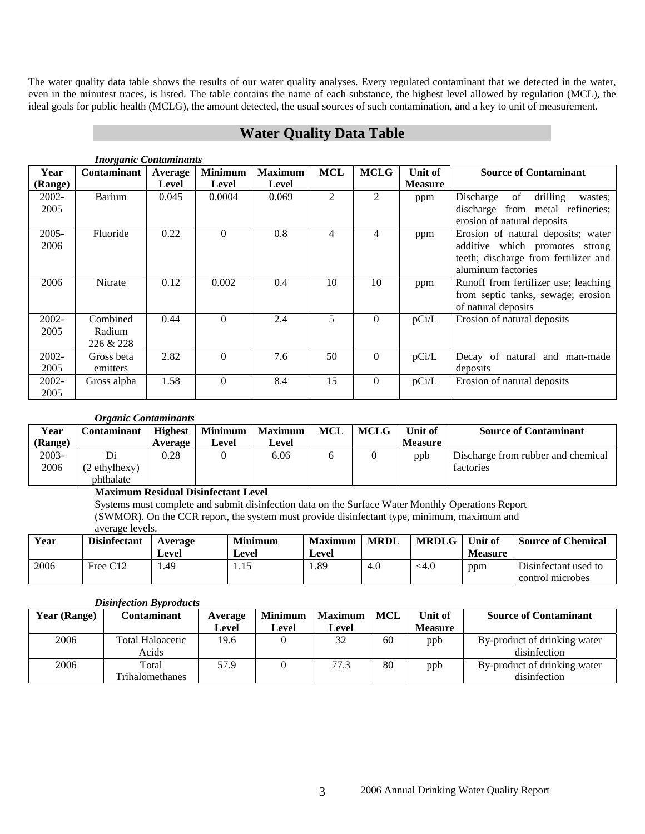The water quality data table shows the results of our water quality analyses. Every regulated contaminant that we detected in the water, even in the minutest traces, is listed. The table contains the name of each substance, the highest level allowed by regulation (MCL), the ideal goals for public health (MCLG), the amount detected, the usual sources of such contamination, and a key to unit of measurement.

# **Water Quality Data Table**

|          | <i>Inorganic Comammunis</i> |         |                |                |            |                |                |                                        |  |  |  |
|----------|-----------------------------|---------|----------------|----------------|------------|----------------|----------------|----------------------------------------|--|--|--|
| Year     | <b>Contaminant</b>          | Average | <b>Minimum</b> | <b>Maximum</b> | <b>MCL</b> | <b>MCLG</b>    | Unit of        | <b>Source of Contaminant</b>           |  |  |  |
| (Range)  |                             | Level   | Level          | Level          |            |                | <b>Measure</b> |                                        |  |  |  |
| 2002-    | <b>Barium</b>               | 0.045   | 0.0004         | 0.069          | 2          | $\overline{2}$ | ppm            | drilling<br>of<br>Discharge<br>wastes: |  |  |  |
| 2005     |                             |         |                |                |            |                |                | discharge from metal refineries;       |  |  |  |
|          |                             |         |                |                |            |                |                | erosion of natural deposits            |  |  |  |
| $2005 -$ | Fluoride                    | 0.22    | $\Omega$       | 0.8            | 4          | 4              | ppm            | Erosion of natural deposits; water     |  |  |  |
| 2006     |                             |         |                |                |            |                |                | additive which promotes strong         |  |  |  |
|          |                             |         |                |                |            |                |                | teeth; discharge from fertilizer and   |  |  |  |
|          |                             |         |                |                |            |                |                | aluminum factories                     |  |  |  |
| 2006     | Nitrate                     | 0.12    | 0.002          | 0.4            | 10         | 10             | ppm            | Runoff from fertilizer use; leaching   |  |  |  |
|          |                             |         |                |                |            |                |                | from septic tanks, sewage; erosion     |  |  |  |
|          |                             |         |                |                |            |                |                | of natural deposits                    |  |  |  |
| 2002-    | Combined                    | 0.44    | $\Omega$       | 2.4            | 5          | $\Omega$       | pCi/L          | Erosion of natural deposits            |  |  |  |
| 2005     | Radium                      |         |                |                |            |                |                |                                        |  |  |  |
|          | 226 & 228                   |         |                |                |            |                |                |                                        |  |  |  |
| 2002-    | Gross beta                  | 2.82    | $\Omega$       | 7.6            | 50         | $\Omega$       | pCi/L          | Decay of natural and man-made          |  |  |  |
| 2005     | emitters                    |         |                |                |            |                |                | deposits                               |  |  |  |
| $2002 -$ | Gross alpha                 | 1.58    | $\Omega$       | 8.4            | 15         | $\Omega$       | pCi/L          | Erosion of natural deposits            |  |  |  |
| 2005     |                             |         |                |                |            |                |                |                                        |  |  |  |

#### *Inorganic Contaminants*

#### *Organic Contaminants*

| Year     | Contaminant   |         | Highest   Minimum   Maximum |       | <b>MCL</b> | <b>MCLG</b> | Unit of        | <b>Source of Contaminant</b>       |
|----------|---------------|---------|-----------------------------|-------|------------|-------------|----------------|------------------------------------|
| (Range)  |               | Average | Level                       | Level |            |             | <b>Measure</b> |                                    |
| $2003 -$ | Di            | 0.28    |                             | 6.06  |            |             | ppb            | Discharge from rubber and chemical |
| 2006     | (2 ethylhexy) |         |                             |       |            |             |                | factories                          |
|          | phthalate     |         |                             |       |            |             |                |                                    |

#### **Maximum Residual Disinfectant Level**

Systems must complete and submit disinfection data on the Surface Water Monthly Operations Report (SWMOR). On the CCR report, the system must provide disinfectant type, minimum, maximum and average levels.

| Year | <b>Disinfectant</b> | Average<br>Level | <b>Minimum</b><br>∟evel | <b>Maximum</b><br>Level | <b>MRDL</b> | <b>MRDLG</b> | Unit of<br><b>Measure</b> | <b>Source of Chemical</b>                |
|------|---------------------|------------------|-------------------------|-------------------------|-------------|--------------|---------------------------|------------------------------------------|
| 2006 | Free C12            | 1.49             | 1.15                    | 1.89                    | 4.0         | <4.0         | ppm                       | Disinfectant used to<br>control microbes |

#### *Disinfection Byproducts*

| Year (Range) | Contaminant             | Average | <b>Minimum</b> | <b>Maximum</b> | MCL | Unit of        | <b>Source of Contaminant</b> |
|--------------|-------------------------|---------|----------------|----------------|-----|----------------|------------------------------|
|              |                         | Level   | Level          | Level          |     | <b>Measure</b> |                              |
| 2006         | <b>Total Haloacetic</b> | 19.6    |                | 32             | 60  | ppb            | By-product of drinking water |
|              | Acids                   |         |                |                |     |                | disinfection                 |
| 2006         | Total                   | 57.9    |                | 77.3           | 80  | ppb            | By-product of drinking water |
|              | Trihalomethanes         |         |                |                |     |                | disinfection                 |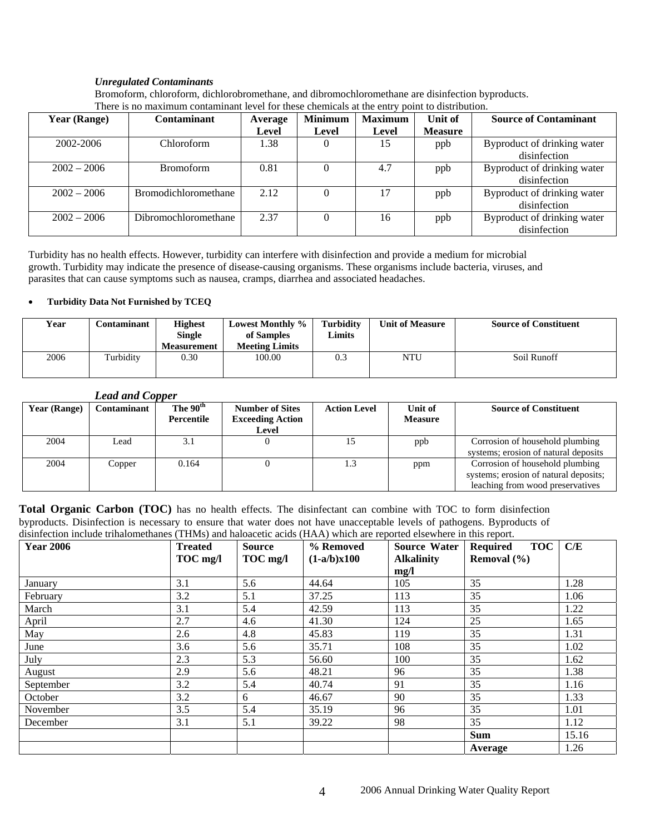#### *Unregulated Contaminants*

Bromoform, chloroform, dichlorobromethane, and dibromochloromethane are disinfection byproducts. There is no maximum contaminant level for these chemicals at the entry point to distribution.

| <b>Year (Range)</b> | <b>Contaminant</b>   | Average | <b>Minimum</b> | <b>Maximum</b> | Unit of        | <b>Source of Contaminant</b> |
|---------------------|----------------------|---------|----------------|----------------|----------------|------------------------------|
|                     |                      | Level   | Level          | Level          | <b>Measure</b> |                              |
| 2002-2006           | Chloroform           | 1.38    |                | 15             | ppb            | Byproduct of drinking water  |
|                     |                      |         |                |                |                | disinfection                 |
| $2002 - 2006$       | <b>Bromoform</b>     | 0.81    |                | 4.7            | ppb            | Byproduct of drinking water  |
|                     |                      |         |                |                |                | disinfection                 |
| $2002 - 2006$       | Bromodichloromethane | 2.12    |                | 17             | ppb            | Byproduct of drinking water  |
|                     |                      |         |                |                |                | disinfection                 |
| $2002 - 2006$       | Dibromochloromethane | 2.37    |                | 16             | ppb            | Byproduct of drinking water  |
|                     |                      |         |                |                |                | disinfection                 |

Turbidity has no health effects. However, turbidity can interfere with disinfection and provide a medium for microbial growth. Turbidity may indicate the presence of disease-causing organisms. These organisms include bacteria, viruses, and parasites that can cause symptoms such as nausea, cramps, diarrhea and associated headaches.

#### • **Turbidity Data Not Furnished by TCEQ**

| Year | C <b>ontaminant</b> | <b>Highest</b><br><b>Single</b><br><b>Measurement</b> | <b>Lowest Monthly %</b><br>of Samples<br><b>Meeting Limits</b> | <b>Turbidity</b><br>Limits | <b>Unit of Measure</b> | <b>Source of Constituent</b> |
|------|---------------------|-------------------------------------------------------|----------------------------------------------------------------|----------------------------|------------------------|------------------------------|
| 2006 | Turbidity           | 0.30                                                  | 100.00                                                         | 0.3                        | <b>NTU</b>             | Soil Runoff                  |

#### *Lead and Copper*

| Year (Range) | Contaminant | The 90 <sup>th</sup><br>Percentile | <b>Number of Sites</b><br><b>Exceeding Action</b><br>Level | <b>Action Level</b> | Unit of<br><b>Measure</b> | <b>Source of Constituent</b>                                                                                 |
|--------------|-------------|------------------------------------|------------------------------------------------------------|---------------------|---------------------------|--------------------------------------------------------------------------------------------------------------|
| 2004         | Lead        | 3.1                                |                                                            |                     | ppb                       | Corrosion of household plumbing<br>systems; erosion of natural deposits                                      |
| 2004         | Copper      | 0.164                              |                                                            |                     | ppm                       | Corrosion of household plumbing<br>systems; erosion of natural deposits;<br>leaching from wood preservatives |

**Total Organic Carbon (TOC)** has no health effects. The disinfectant can combine with TOC to form disinfection byproducts. Disinfection is necessary to ensure that water does not have unacceptable levels of pathogens. Byproducts of disinfection include trihalomethanes (THMs) and haloacetic acids (HAA) which are reported elsewhere in this report.

| ability reports in the report of the contract of the contract of the contract of the contract of the report.<br><b>Year 2006</b> | <b>Treated</b> | Source   | % Removed     | Source Water      | <b>TOC</b><br>Required | C/E   |
|----------------------------------------------------------------------------------------------------------------------------------|----------------|----------|---------------|-------------------|------------------------|-------|
|                                                                                                                                  | TOC mg/l       | TOC mg/l | $(1-a/b)x100$ | <b>Alkalinity</b> | Removal $(\% )$        |       |
|                                                                                                                                  |                |          |               | mg/l              |                        |       |
| January                                                                                                                          | 3.1            | 5.6      | 44.64         | 105               | 35                     | 1.28  |
| February                                                                                                                         | 3.2            | 5.1      | 37.25         | 113               | 35                     | 1.06  |
| March                                                                                                                            | 3.1            | 5.4      | 42.59         | 113               | 35                     | 1.22  |
| April                                                                                                                            | 2.7            | 4.6      | 41.30         | 124               | 25                     | 1.65  |
| May                                                                                                                              | 2.6            | 4.8      | 45.83         | 119               | 35                     | 1.31  |
| June                                                                                                                             | 3.6            | 5.6      | 35.71         | 108               | 35                     | 1.02  |
| July                                                                                                                             | 2.3            | 5.3      | 56.60         | 100               | 35                     | 1.62  |
| August                                                                                                                           | 2.9            | 5.6      | 48.21         | 96                | 35                     | 1.38  |
| September                                                                                                                        | 3.2            | 5.4      | 40.74         | 91                | 35                     | 1.16  |
| October                                                                                                                          | 3.2            | 6        | 46.67         | 90                | 35                     | 1.33  |
| November                                                                                                                         | 3.5            | 5.4      | 35.19         | 96                | 35                     | 1.01  |
| December                                                                                                                         | 3.1            | 5.1      | 39.22         | 98                | 35                     | 1.12  |
|                                                                                                                                  |                |          |               |                   | <b>Sum</b>             | 15.16 |
|                                                                                                                                  |                |          |               |                   | Average                | 1.26  |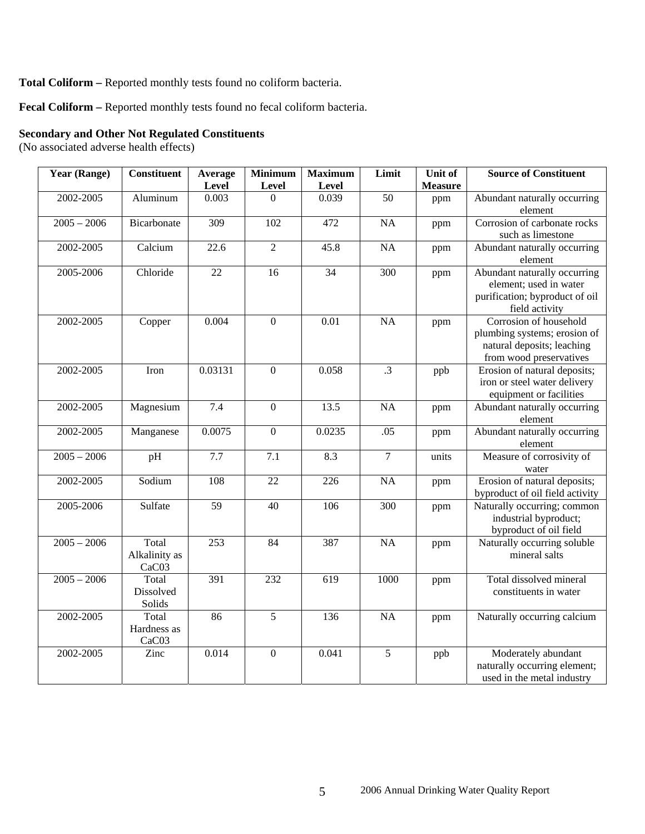### **Total Coliform –** Reported monthly tests found no coliform bacteria.

**Fecal Coliform –** Reported monthly tests found no fecal coliform bacteria.

### **Secondary and Other Not Regulated Constituents**

(No associated adverse health effects)

| <b>Year (Range)</b> | <b>Constituent</b>   | Average         | <b>Minimum</b>   | <b>Maximum</b>    | Limit            | Unit of        | <b>Source of Constituent</b>                               |
|---------------------|----------------------|-----------------|------------------|-------------------|------------------|----------------|------------------------------------------------------------|
|                     |                      | Level           | Level            | Level             |                  | <b>Measure</b> |                                                            |
| 2002-2005           | Aluminum             | 0.003           | $\Omega$         | 0.039             | 50               | ppm            | Abundant naturally occurring                               |
|                     |                      |                 |                  |                   |                  |                | element                                                    |
| $2005 - 2006$       | Bicarbonate          | 309             | 102              | 472               | <b>NA</b>        | ppm            | Corrosion of carbonate rocks                               |
|                     |                      |                 |                  |                   |                  |                | such as limestone                                          |
| 2002-2005           | Calcium              | 22.6            | $\overline{2}$   | 45.8              | <b>NA</b>        | ppm            | Abundant naturally occurring                               |
|                     |                      |                 |                  |                   |                  |                | element                                                    |
| 2005-2006           | Chloride             | $\overline{22}$ | 16               | $\overline{34}$   | $\overline{300}$ | ppm            | Abundant naturally occurring                               |
|                     |                      |                 |                  |                   |                  |                | element; used in water                                     |
|                     |                      |                 |                  |                   |                  |                | purification; byproduct of oil                             |
|                     |                      |                 |                  |                   |                  |                | field activity                                             |
| 2002-2005           | Copper               | 0.004           | $\boldsymbol{0}$ | $\overline{0.01}$ | <b>NA</b>        | ppm            | Corrosion of household                                     |
|                     |                      |                 |                  |                   |                  |                | plumbing systems; erosion of<br>natural deposits; leaching |
|                     |                      |                 |                  |                   |                  |                | from wood preservatives                                    |
| 2002-2005           | Iron                 | 0.03131         | $\overline{0}$   | 0.058             | $\overline{.3}$  | ppb            | Erosion of natural deposits;                               |
|                     |                      |                 |                  |                   |                  |                | iron or steel water delivery                               |
|                     |                      |                 |                  |                   |                  |                | equipment or facilities                                    |
| 2002-2005           | Magnesium            | 7.4             | $\overline{0}$   | 13.5              | <b>NA</b>        | ppm            | Abundant naturally occurring                               |
|                     |                      |                 |                  |                   |                  |                | element                                                    |
| 2002-2005           | Manganese            | 0.0075          | $\overline{0}$   | 0.0235            | .05              | ppm            | Abundant naturally occurring                               |
|                     |                      |                 |                  |                   |                  |                | element                                                    |
| $2005 - 2006$       | pH                   | 7.7             | 7.1              | 8.3               | $\tau$           | units          | Measure of corrosivity of                                  |
|                     |                      |                 |                  |                   |                  |                | water                                                      |
| 2002-2005           | Sodium               | 108             | $\overline{22}$  | 226               | <b>NA</b>        | ppm            | Erosion of natural deposits;                               |
|                     |                      |                 |                  |                   |                  |                | byproduct of oil field activity                            |
| 2005-2006           | Sulfate              | $\overline{59}$ | 40               | 106               | $\overline{300}$ | ppm            | Naturally occurring; common                                |
|                     |                      |                 |                  |                   |                  |                | industrial byproduct;                                      |
|                     |                      |                 |                  |                   |                  |                | byproduct of oil field                                     |
| $2005 - 2006$       | Total                | 253             | 84               | 387               | $\overline{NA}$  | ppm            | Naturally occurring soluble                                |
|                     | Alkalinity as        |                 |                  |                   |                  |                | mineral salts                                              |
|                     | CaC03                |                 |                  |                   |                  |                |                                                            |
| $2005 - 2006$       | Total                | 391             | 232              | $\overline{619}$  | 1000             | ppm            | Total dissolved mineral                                    |
|                     | Dissolved            |                 |                  |                   |                  |                | constituents in water                                      |
|                     | Solids<br>Total      | 86              | $\overline{5}$   |                   |                  |                |                                                            |
| 2002-2005           |                      |                 |                  | 136               | $\overline{NA}$  | ppm            | Naturally occurring calcium                                |
|                     | Hardness as<br>CaC03 |                 |                  |                   |                  |                |                                                            |
| 2002-2005           | Zinc                 | 0.014           | $\overline{0}$   | 0.041             | $\overline{5}$   |                | Moderately abundant                                        |
|                     |                      |                 |                  |                   |                  | ppb            | naturally occurring element;                               |
|                     |                      |                 |                  |                   |                  |                | used in the metal industry                                 |
|                     |                      |                 |                  |                   |                  |                |                                                            |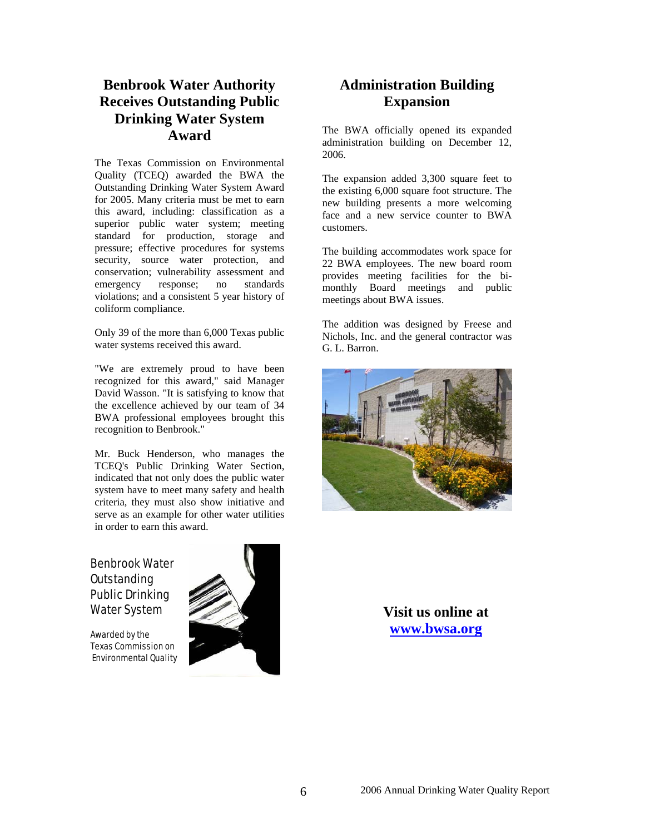# **Benbrook Water Authority Receives Outstanding Public Drinking Water System Award**

The Texas Commission on Environmental Quality (TCEQ) awarded the BWA the Outstanding Drinking Water System Award for 2005. Many criteria must be met to earn this award, including: classification as a superior public water system; meeting standard for production, storage and pressure; effective procedures for systems security, source water protection, and conservation; vulnerability assessment and emergency response; no standards violations; and a consistent 5 year history of coliform compliance.

Only 39 of the more than 6,000 Texas public water systems received this award.

"We are extremely proud to have been recognized for this award," said Manager David Wasson. "It is satisfying to know that the excellence achieved by our team of 34 BWA professional employees brought this recognition to Benbrook."

Mr. Buck Henderson, who manages the TCEQ's Public Drinking Water Section, indicated that not only does the public water system have to meet many safety and health criteria, they must also show initiative and serve as an example for other water utilities in order to earn this award.

# Benbrook Water Outstanding Public Drinking Water System

Awarded by the Texas Commission on Environmental Quality



# **Administration Building Expansion**

The BWA officially opened its expanded administration building on December 12, 2006.

The expansion added 3,300 square feet to the existing 6,000 square foot structure. The new building presents a more welcoming face and a new service counter to BWA customers.

The building accommodates work space for 22 BWA employees. The new board room provides meeting facilities for the bimonthly Board meetings and public meetings about BWA issues.

The addition was designed by Freese and Nichols, Inc. and the general contractor was G. L. Barron.



**Visit us online at [www.bwsa.org](http://www.bwsa.org/)**